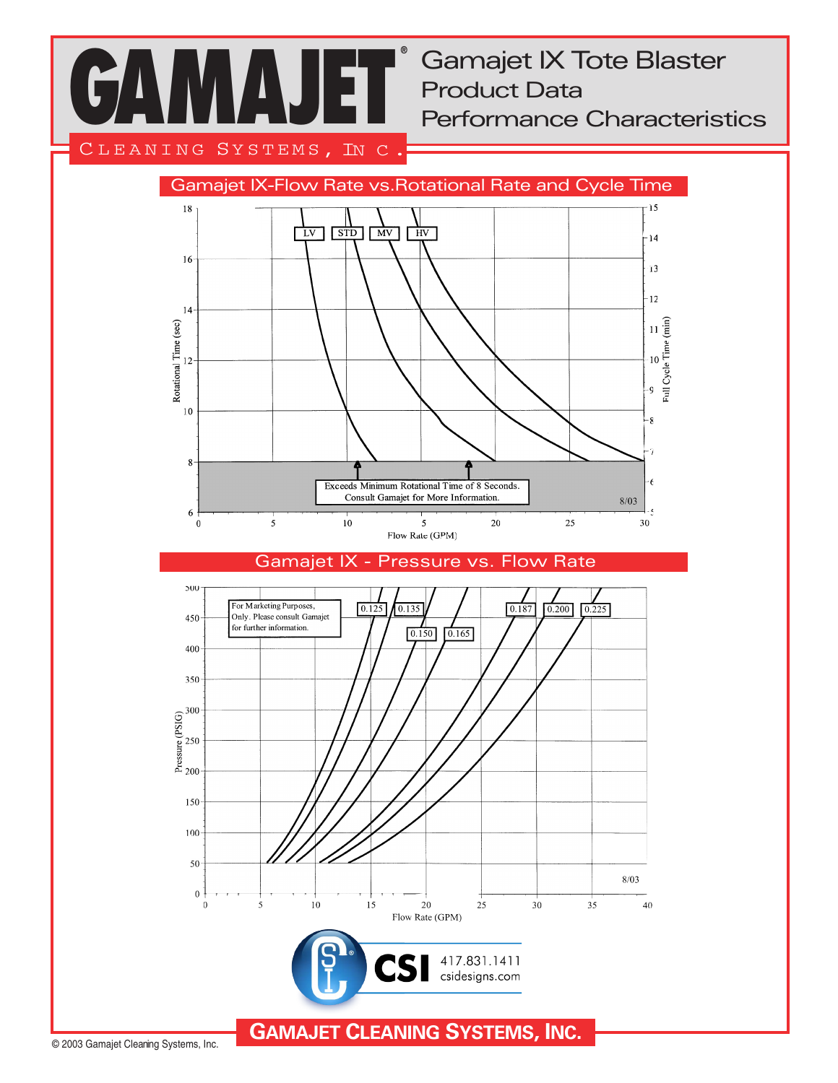**GAMAJET ®**

Gamajet IX Tote Blaster Product Data Performance Characteristics

CLEANING SYSTEMS, IN C.



Gamajet IX - Pressure vs. Flow Rate